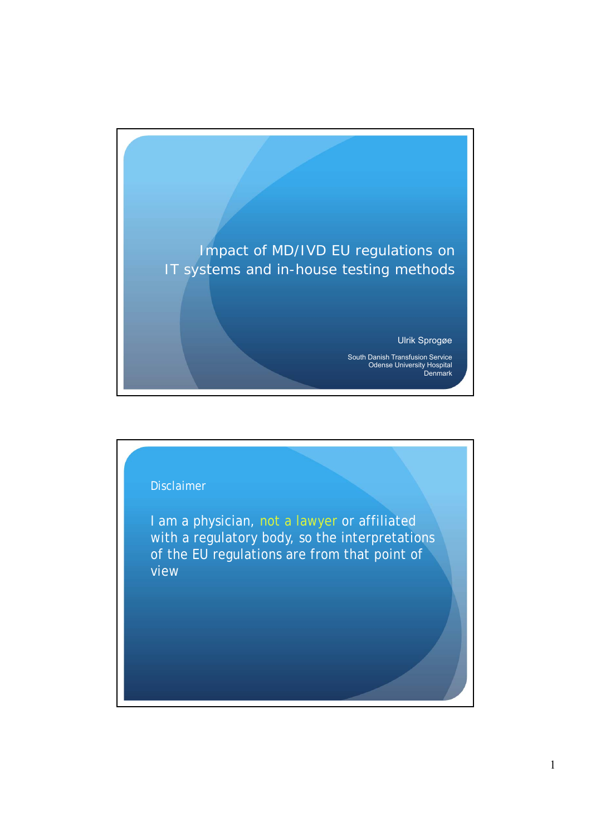

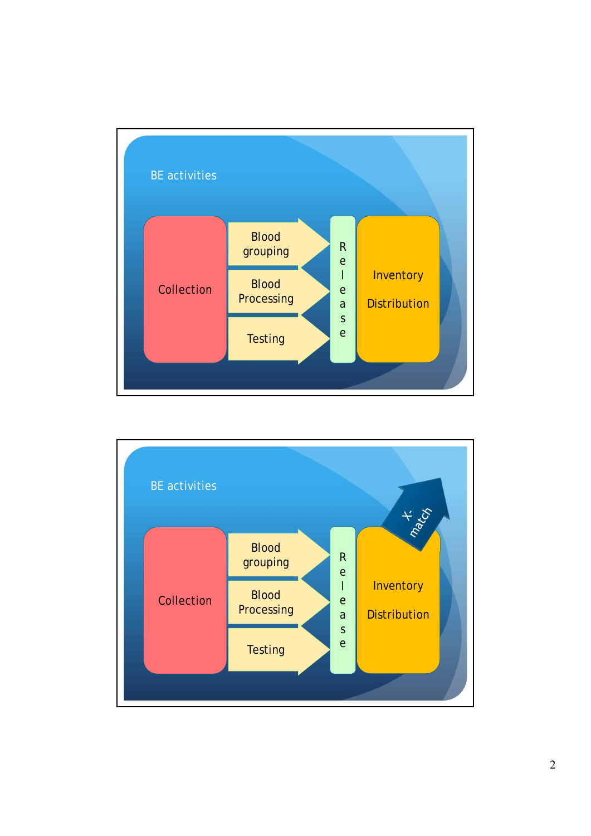

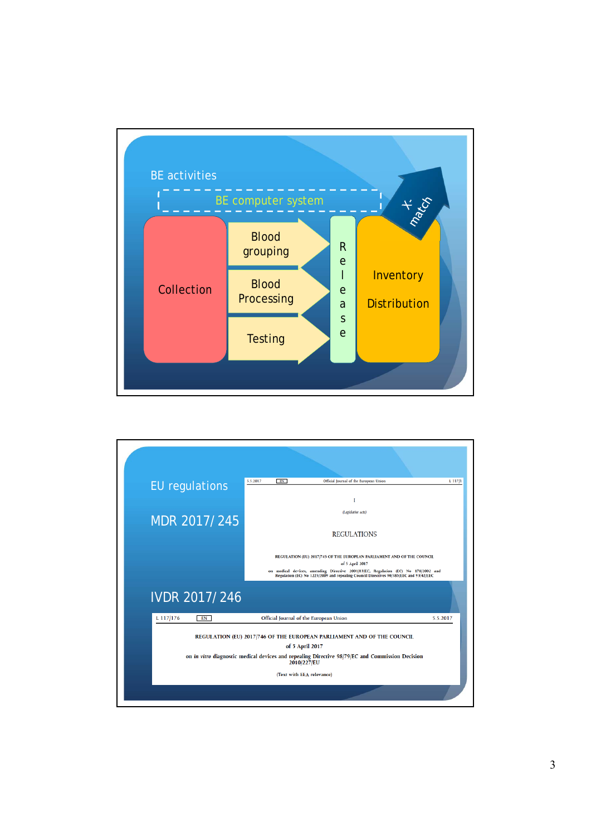

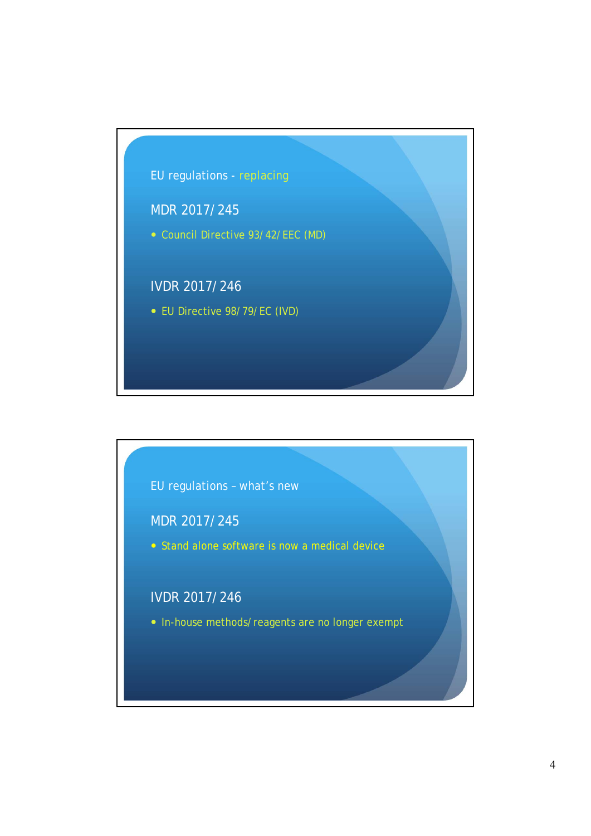

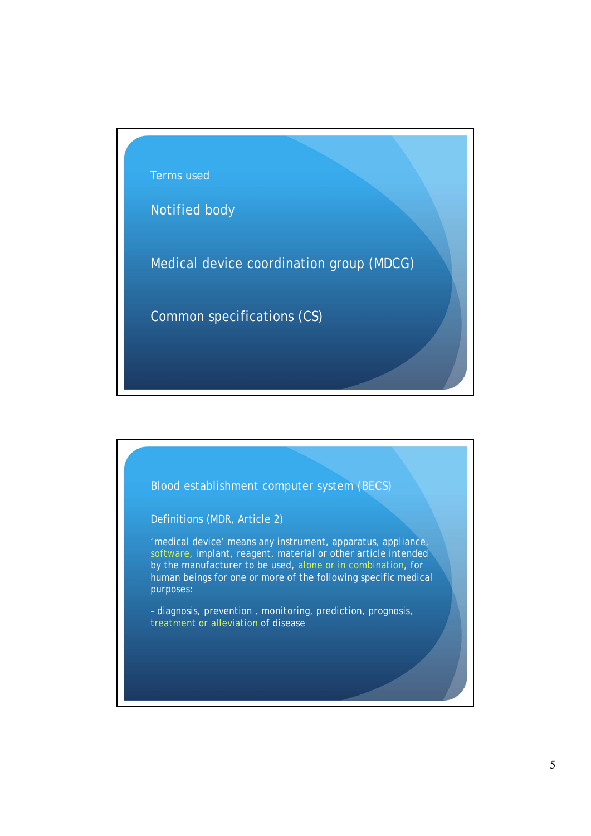

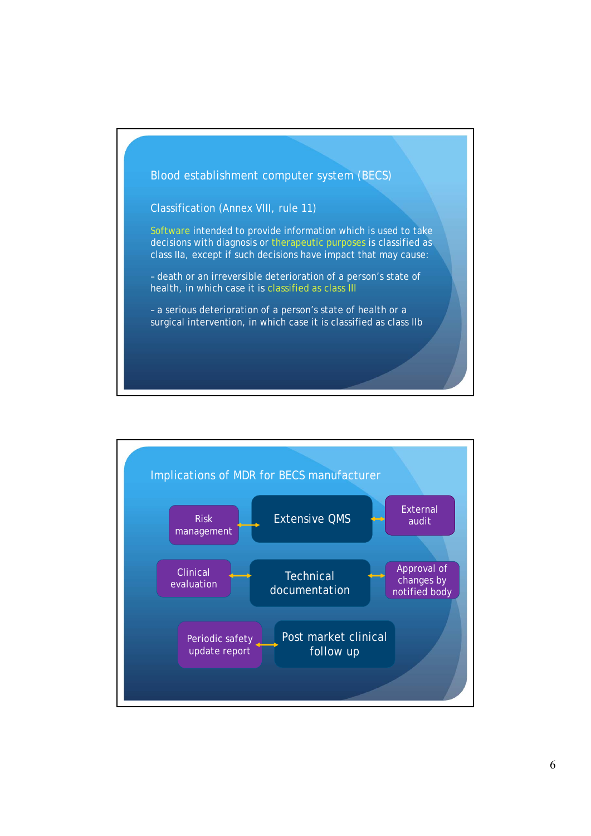

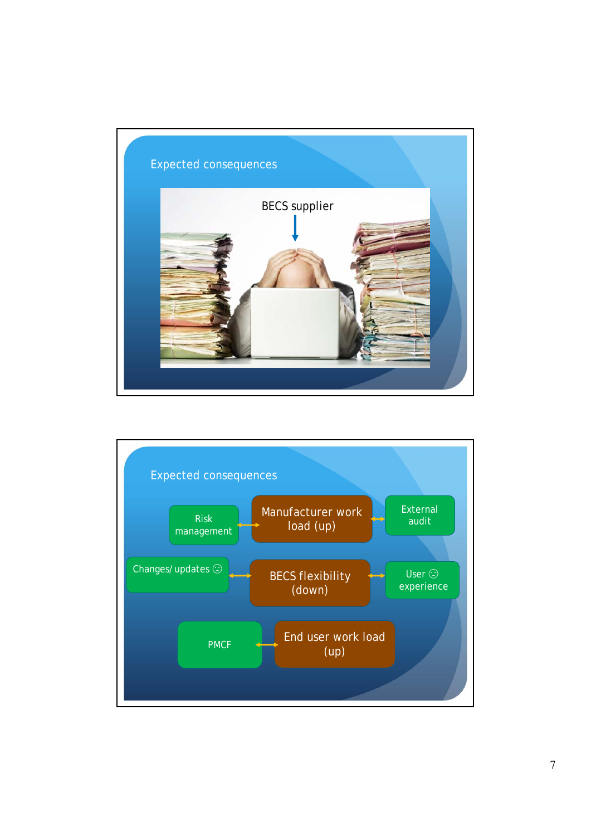

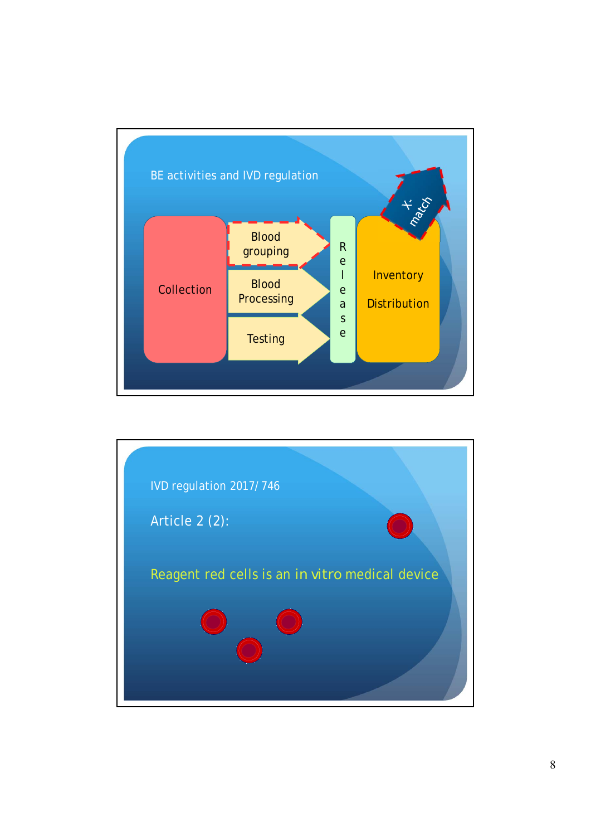

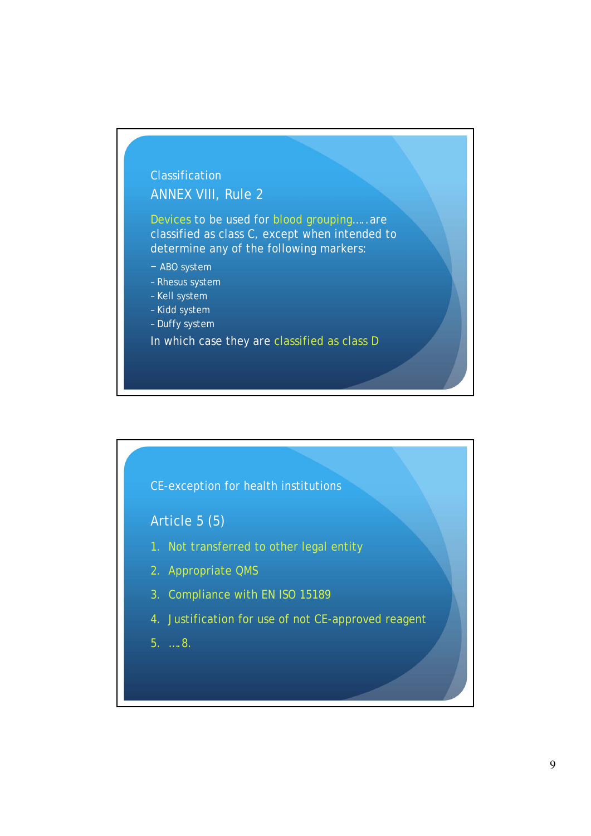## **Classification** ANNEX VIII, Rule 2

Devices to be used for blood grouping…..are classified as class C, except when intended to determine any of the following markers:

- ABO system
- Rhesus system
- Kell system
- Kidd system
- Duffy system

In which case they are classified as class D



Article 5 (5)

- 1. Not transferred to other legal entity
- 2. Appropriate QMS
- 3. Compliance with EN ISO 15189
- 4. Justification for use of not CE-approved reagent
- 5. ….8.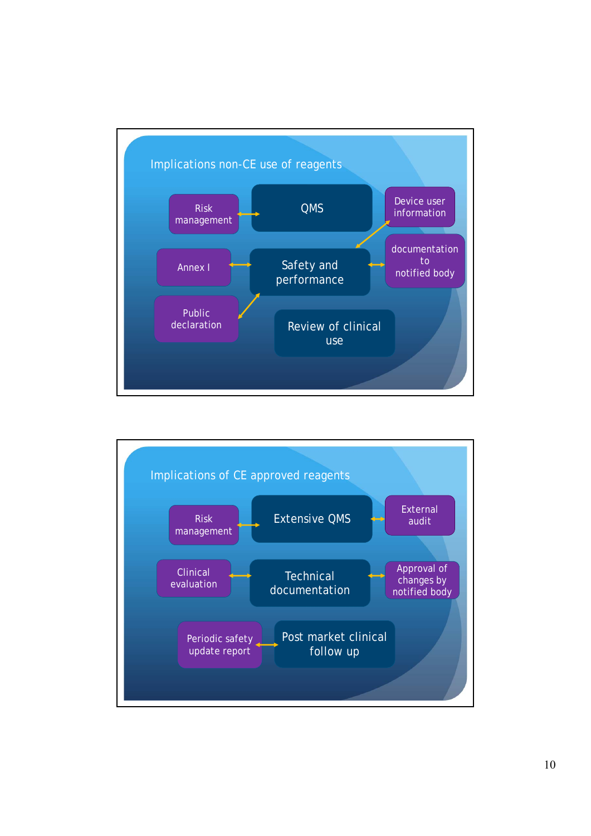